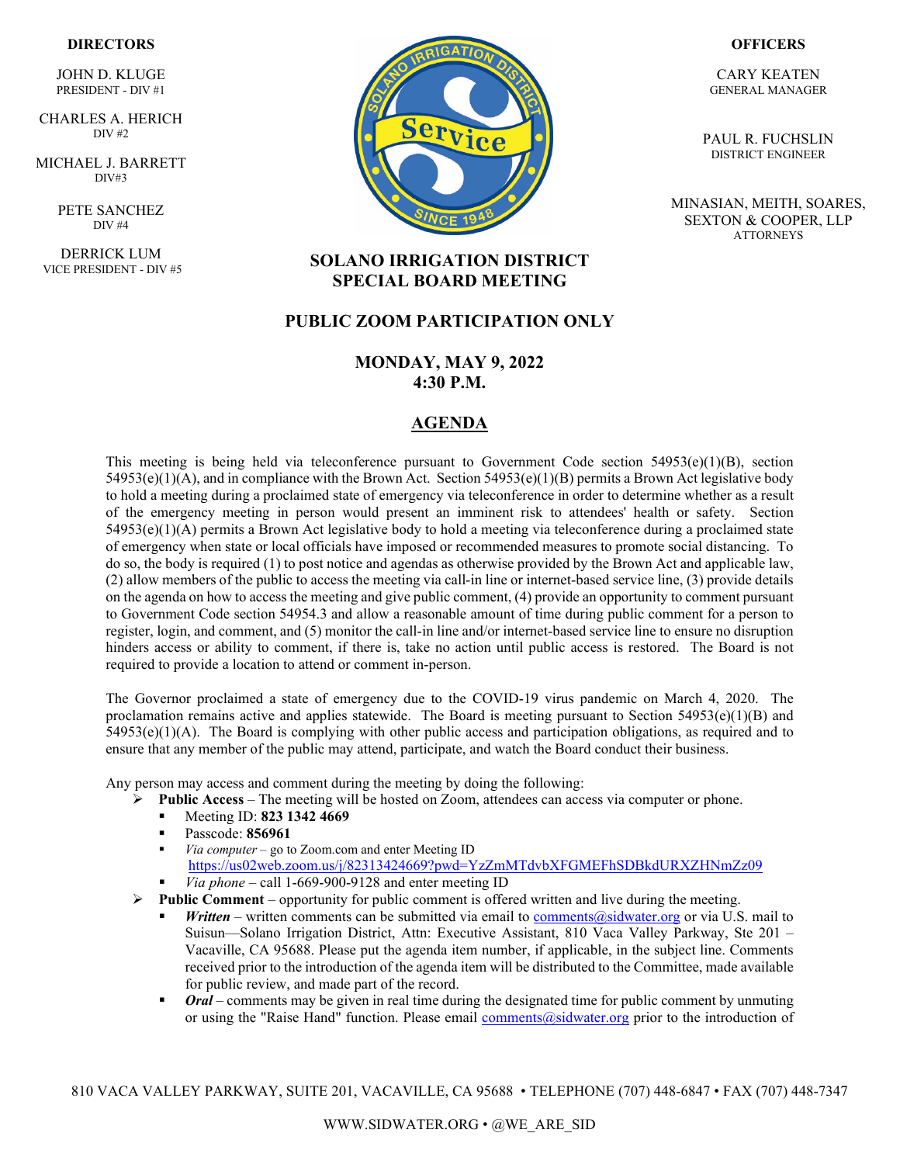#### **DIRECTORS**

JOHN D. KLUGE PRESIDENT - DIV #1

` CHARLES A. HERICH DIV #2

MICHAEL J. BARRETT DIV#3

> PETE SANCHEZ DIV #4

DERRICK LUM VICE PRESIDENT - DIV #5



#### **OFFICERS**

CARY KEATEN GENERAL MANAGER

PAUL R. FUCHSLIN DISTRICT ENGINEER

MINASIAN, MEITH, SOARES, SEXTON & COOPER, LLP **ATTORNEYS** 

### **SOLANO IRRIGATION DISTRICT SPECIAL BOARD MEETING**

### **PUBLIC ZOOM PARTICIPATION ONLY**

### **MONDAY, MAY 9, 2022 4:30 P.M.**

### **AGENDA**

This meeting is being held via teleconference pursuant to Government Code section  $54953(e)(1)(B)$ , section  $54953(e)(1)(A)$ , and in compliance with the Brown Act. Section  $54953(e)(1)(B)$  permits a Brown Act legislative body to hold a meeting during a proclaimed state of emergency via teleconference in order to determine whether as a result of the emergency meeting in person would present an imminent risk to attendees' health or safety. Section 54953(e)(1)(A) permits a Brown Act legislative body to hold a meeting via teleconference during a proclaimed state of emergency when state or local officials have imposed or recommended measures to promote social distancing. To do so, the body is required (1) to post notice and agendas as otherwise provided by the Brown Act and applicable law, (2) allow members of the public to access the meeting via call-in line or internet-based service line, (3) provide details on the agenda on how to access the meeting and give public comment, (4) provide an opportunity to comment pursuant to Government Code section 54954.3 and allow a reasonable amount of time during public comment for a person to register, login, and comment, and (5) monitor the call-in line and/or internet-based service line to ensure no disruption hinders access or ability to comment, if there is, take no action until public access is restored. The Board is not required to provide a location to attend or comment in-person.

The Governor proclaimed a state of emergency due to the COVID-19 virus pandemic on March 4, 2020. The proclamation remains active and applies statewide. The Board is meeting pursuant to Section  $54953(e)(1)(B)$  and  $54953(e)(1)(A)$ . The Board is complying with other public access and participation obligations, as required and to ensure that any member of the public may attend, participate, and watch the Board conduct their business.

Any person may access and comment during the meeting by doing the following:

- **►** Public Access The meeting will be hosted on Zoom, attendees can access via computer or phone.
	- Meeting ID: **823 1342 4669**
	- Passcode: **856961**
	- *Via computer* go to Zoom.com and enter Meeting ID <https://us02web.zoom.us/j/82313424669?pwd=YzZmMTdvbXFGMEFhSDBkdURXZHNmZz09>
	- *Via phone* call 1-669-900-9128 and enter meeting ID
- $\triangleright$  **Public Comment** opportunity for public comment is offered written and live during the meeting.
	- *Written* written comments can be submitted via email to comments  $\omega$ sidwater.org or via U.S. mail to Suisun—Solano Irrigation District, Attn: Executive Assistant, 810 Vaca Valley Parkway, Ste 201 – Vacaville, CA 95688. Please put the agenda item number, if applicable, in the subject line. Comments received prior to the introduction of the agenda item will be distributed to the Committee, made available for public review, and made part of the record.
	- *Oral* comments may be given in real time during the designated time for public comment by unmuting or using the "Raise Hand" function. Please email [comments@sidwater.org](mailto:comments@sidwater.org) prior to the introduction of

810 VACA VALLEY PARKWAY, SUITE 201, VACAVILLE, CA 95688 • TELEPHONE (707) 448-6847 • FAX (707) 448-7347